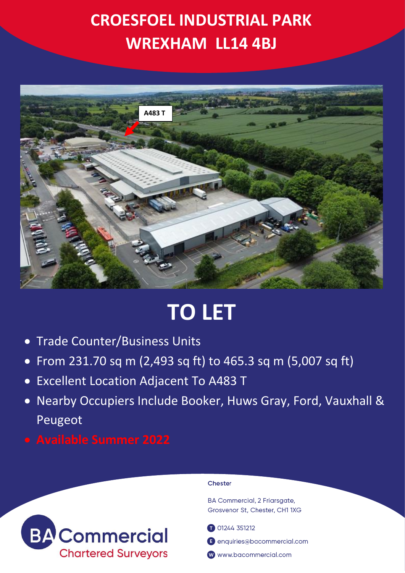

# **TO LET**

- Trade Counter/Business Units
- From 231.70 sq m (2,493 sq ft) to 465.3 sq m (5,007 sq ft)
- Excellent Location Adjacent To A483 T
- Nearby Occupiers Include Booker, Huws Gray, Ford, Vauxhall & Peugeot
- 



### Chester

**BA Commercial, 2 Friarsgate,** Grosvenor St, Chester, CH1 1XG

**001244351212** 

**B** enquiries@bacommercial.com

www.bacommercial.com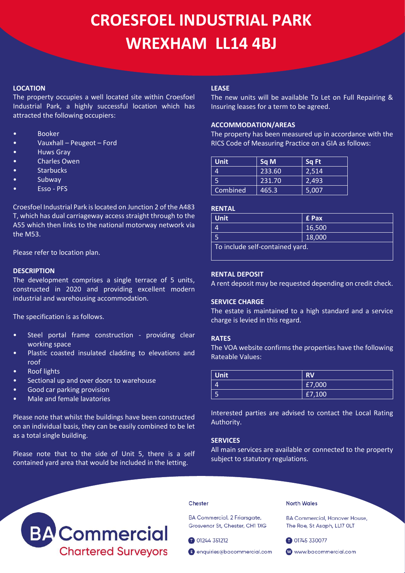### **LOCATION**

The property occupies a well located site within Croesfoel Industrial Park, a highly successful location which has attracted the following occupiers:

- **Booker**
- Vauxhall Peugeot Ford
- Huws Gray
- Charles Owen
- **Starbucks**
- Subway
- Esso PFS

Croesfoel Industrial Park is located on Junction 2 of the A483 T, which has dual carriageway access straight through to the A55 which then links to the national motorway network via the M53.

Please refer to location plan.

### **DESCRIPTION**

The development comprises a single terrace of 5 units, constructed in 2020 and providing excellent modern industrial and warehousing accommodation.

The specification is as follows.

- Steel portal frame construction providing clear working space
- Plastic coasted insulated cladding to elevations and roof
- Roof lights
- Sectional up and over doors to warehouse
- Good car parking provision
- Male and female lavatories

Please note that whilst the buildings have been constructed on an individual basis, they can be easily combined to be let as a total single building.

Please note that to the side of Unit 5, there is a self contained yard area that would be included in the letting.

### **LEASE**

The new units will be available To Let on Full Repairing & Insuring leases for a term to be agreed.

### **ACCOMMODATION/AREAS**

The property has been measured up in accordance with the RICS Code of Measuring Practice on a GIA as follows:

| <b>Unit</b> | Sq M   | Sq Ft |
|-------------|--------|-------|
| 4           | 233.60 | 2,514 |
| 5           | 231.70 | 2,493 |
| Combined    | 465.3  | 5,007 |

### **RENTAL**

| <b>Unit</b>                     | <b>E</b> Pax |  |
|---------------------------------|--------------|--|
| 4                               | 16,500       |  |
|                                 | 18,000       |  |
| To include self-contained yard. |              |  |

### **RENTAL DEPOSIT**

A rent deposit may be requested depending on credit check.

### **SERVICE CHARGE**

The estate is maintained to a high standard and a service charge is levied in this regard.

### **RATES**

The VOA website confirms the properties have the following Rateable Values:

| Unit | <b>RV</b> |
|------|-----------|
| 4    | £7,000    |
|      | £7,100    |

Interested parties are advised to contact the Local Rating Authority.

### **SERVICES**

All main services are available or connected to the property subject to statutory regulations.



#### Chester

BA Commercial, 2 Friarsgate, Grosvenor St, Chester, CH1 1XG

01244 351212

enquiries@bacommercial.com

North Wales

**BA Commercial, Hanover House,** The Roe, St Asaph, LL17 OLT

01745 330077

www.bacommercial.com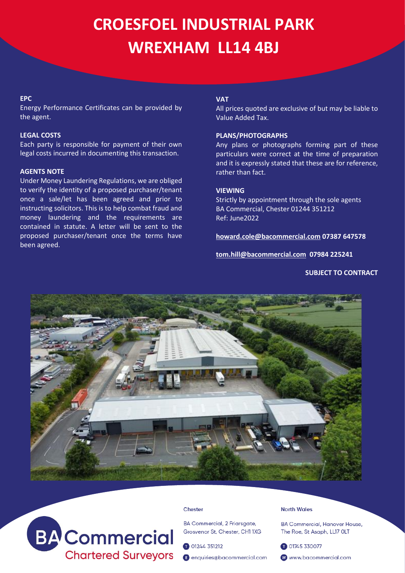### **EPC**

Energy Performance Certificates can be provided by the agent.

### **LEGAL COSTS**

Each party is responsible for payment of their own legal costs incurred in documenting this transaction.

### **AGENTS NOTE**

Under Money Laundering Regulations, we are obliged to verify the identity of a proposed purchaser/tenant once a sale/let has been agreed and prior to instructing solicitors. This is to help combat fraud and money laundering and the requirements are contained in statute. A letter will be sent to the proposed purchaser/tenant once the terms have been agreed.

### **VAT**

All prices quoted are exclusive of but may be liable to Value Added Tax.

### **PLANS/PHOTOGRAPHS**

Any plans or photographs forming part of these particulars were correct at the time of preparation and it is expressly stated that these are for reference, rather than fact.

## **VIEWING**

Strictly by appointment through the sole agents BA Commercial, Chester 01244 351212 Ref: June2022

**[howard.cole@bacommercial.com](mailto:howard.cole@bacommercial.com) 07387 647578**

**[tom.hill@bacommercial.com](mailto:tom.hill@bacommercial.com) 07984 225241**

### **SUBJECT TO CONTRACT**





#### Chester

BA Commercial, 2 Friarsgate, Grosvenor St, Chester, CH1 1XG

01244 351212

enquiries@bacommercial.com

### **North Wales**

**BA Commercial, Hanover House,** The Roe, St Asaph, LL17 OLT

01745 330077

www.bacommercial.com